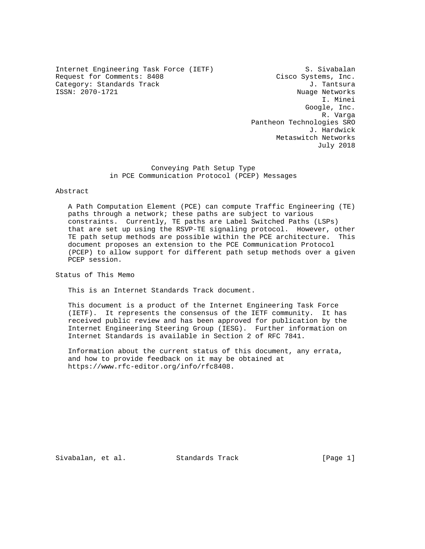Internet Engineering Task Force (IETF) S. Sivabalan Request for Comments: 8408 Cisco Systems, Inc.<br>Category: Standards Track Category: Standards Track Category: Standards Track<br>ISSN: 2070-1721

Nuage Networks I. Minei Google, Inc. R. Varga Pantheon Technologies SRO J. Hardwick Metaswitch Networks July 2018

## Conveying Path Setup Type in PCE Communication Protocol (PCEP) Messages

# Abstract

 A Path Computation Element (PCE) can compute Traffic Engineering (TE) paths through a network; these paths are subject to various constraints. Currently, TE paths are Label Switched Paths (LSPs) that are set up using the RSVP-TE signaling protocol. However, other TE path setup methods are possible within the PCE architecture. This document proposes an extension to the PCE Communication Protocol (PCEP) to allow support for different path setup methods over a given PCEP session.

Status of This Memo

This is an Internet Standards Track document.

 This document is a product of the Internet Engineering Task Force (IETF). It represents the consensus of the IETF community. It has received public review and has been approved for publication by the Internet Engineering Steering Group (IESG). Further information on Internet Standards is available in Section 2 of RFC 7841.

 Information about the current status of this document, any errata, and how to provide feedback on it may be obtained at https://www.rfc-editor.org/info/rfc8408.

Sivabalan, et al. Standards Track [Page 1]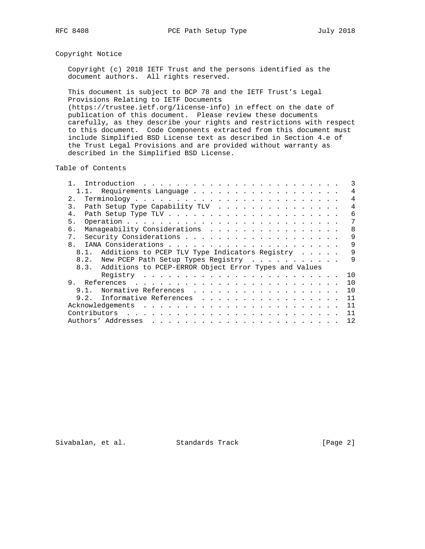# Copyright Notice

 Copyright (c) 2018 IETF Trust and the persons identified as the document authors. All rights reserved.

 This document is subject to BCP 78 and the IETF Trust's Legal Provisions Relating to IETF Documents (https://trustee.ietf.org/license-info) in effect on the date of publication of this document. Please review these documents carefully, as they describe your rights and restrictions with respect to this document. Code Components extracted from this document must include Simplified BSD License text as described in Section 4.e of the Trust Legal Provisions and are provided without warranty as described in the Simplified BSD License.

Table of Contents

|                                                            | 4              |
|------------------------------------------------------------|----------------|
|                                                            |                |
| 2.1                                                        | 4              |
| Path Setup Type Capability TLV<br>3.                       | $\overline{4}$ |
| $4$ .                                                      | 6              |
| 5.                                                         | 7              |
| Manaqeability Considerations<br>б.                         | 8              |
| 7.                                                         | 9              |
| 8 <sub>1</sub>                                             | 9              |
| Additions to PCEP TLV Type Indicators Registry<br>$8.1$ .  | 9              |
| New PCEP Path Setup Types Registry<br>8.2.                 | 9              |
| 8.3. Additions to PCEP-ERROR Object Error Types and Values |                |
|                                                            | 10             |
| 9.                                                         | 10             |
| Normative References<br>9.1.                               | 10             |
| 9.2. Informative References                                | 11             |
|                                                            | 11             |
|                                                            | 11             |
|                                                            | 12             |

Sivabalan, et al. Standards Track [Page 2]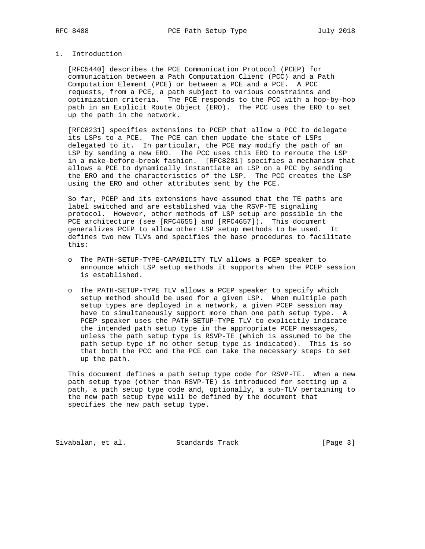## 1. Introduction

 [RFC5440] describes the PCE Communication Protocol (PCEP) for communication between a Path Computation Client (PCC) and a Path Computation Element (PCE) or between a PCE and a PCE. A PCC requests, from a PCE, a path subject to various constraints and optimization criteria. The PCE responds to the PCC with a hop-by-hop path in an Explicit Route Object (ERO). The PCC uses the ERO to set up the path in the network.

 [RFC8231] specifies extensions to PCEP that allow a PCC to delegate its LSPs to a PCE. The PCE can then update the state of LSPs delegated to it. In particular, the PCE may modify the path of an LSP by sending a new ERO. The PCC uses this ERO to reroute the LSP in a make-before-break fashion. [RFC8281] specifies a mechanism that allows a PCE to dynamically instantiate an LSP on a PCC by sending the ERO and the characteristics of the LSP. The PCC creates the LSP using the ERO and other attributes sent by the PCE.

 So far, PCEP and its extensions have assumed that the TE paths are label switched and are established via the RSVP-TE signaling protocol. However, other methods of LSP setup are possible in the PCE architecture (see [RFC4655] and [RFC4657]). This document generalizes PCEP to allow other LSP setup methods to be used. It defines two new TLVs and specifies the base procedures to facilitate this:

- o The PATH-SETUP-TYPE-CAPABILITY TLV allows a PCEP speaker to announce which LSP setup methods it supports when the PCEP session is established.
- o The PATH-SETUP-TYPE TLV allows a PCEP speaker to specify which setup method should be used for a given LSP. When multiple path setup types are deployed in a network, a given PCEP session may have to simultaneously support more than one path setup type. A PCEP speaker uses the PATH-SETUP-TYPE TLV to explicitly indicate the intended path setup type in the appropriate PCEP messages, unless the path setup type is RSVP-TE (which is assumed to be the path setup type if no other setup type is indicated). This is so that both the PCC and the PCE can take the necessary steps to set up the path.

 This document defines a path setup type code for RSVP-TE. When a new path setup type (other than RSVP-TE) is introduced for setting up a path, a path setup type code and, optionally, a sub-TLV pertaining to the new path setup type will be defined by the document that specifies the new path setup type.

Sivabalan, et al. Standards Track [Page 3]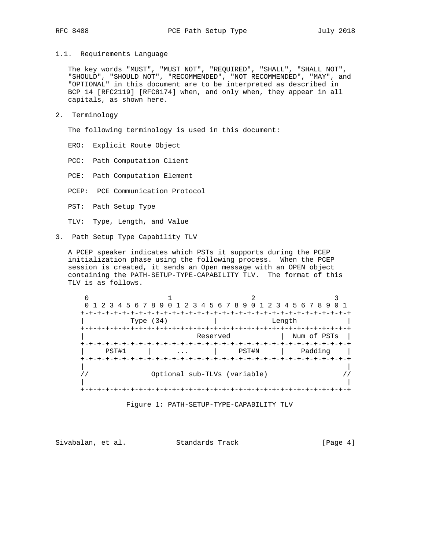#### 1.1. Requirements Language

 The key words "MUST", "MUST NOT", "REQUIRED", "SHALL", "SHALL NOT", "SHOULD", "SHOULD NOT", "RECOMMENDED", "NOT RECOMMENDED", "MAY", and "OPTIONAL" in this document are to be interpreted as described in BCP 14 [RFC2119] [RFC8174] when, and only when, they appear in all capitals, as shown here.

2. Terminology

The following terminology is used in this document:

ERO: Explicit Route Object

PCC: Path Computation Client

PCE: Path Computation Element

PCEP: PCE Communication Protocol

PST: Path Setup Type

TLV: Type, Length, and Value

3. Path Setup Type Capability TLV

 A PCEP speaker indicates which PSTs it supports during the PCEP initialization phase using the following process. When the PCEP session is created, it sends an Open message with an OPEN object containing the PATH-SETUP-TYPE-CAPABILITY TLV. The format of this TLV is as follows.

0  $1$   $2$   $3$  0 1 2 3 4 5 6 7 8 9 0 1 2 3 4 5 6 7 8 9 0 1 2 3 4 5 6 7 8 9 0 1 +-+-+-+-+-+-+-+-+-+-+-+-+-+-+-+-+-+-+-+-+-+-+-+-+-+-+-+-+-+-+-+-+ Type (34) | Length +-+-+-+-+-+-+-+-+-+-+-+-+-+-+-+-+-+-+-+-+-+-+-+-+-+-+-+-+-+-+-+-+ Reserved | Num of PSTs +-+-+-+-+-+-+-+-+-+-+-+-+-+-+-+-+-+-+-+-+-+-+-+-+-+-+-+-+-+-+-+-+ PST#1 | ... | PST#N | Padding +-+-+-+-+-+-+-+-+-+-+-+-+-+-+-+-+-+-+-+-+-+-+-+-+-+-+-+-+-+-+-+-+ | | // Optional sub-TLVs (variable) // | | +-+-+-+-+-+-+-+-+-+-+-+-+-+-+-+-+-+-+-+-+-+-+-+-+-+-+-+-+-+-+-+-+

Figure 1: PATH-SETUP-TYPE-CAPABILITY TLV

Sivabalan, et al. Standards Track [Page 4]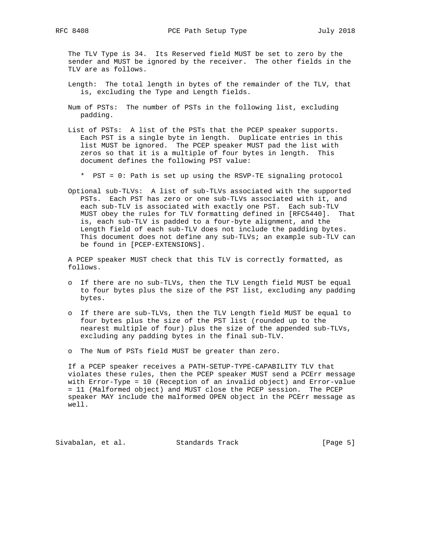The TLV Type is 34. Its Reserved field MUST be set to zero by the sender and MUST be ignored by the receiver. The other fields in the TLV are as follows.

- Length: The total length in bytes of the remainder of the TLV, that is, excluding the Type and Length fields.
- Num of PSTs: The number of PSTs in the following list, excluding padding.
- List of PSTs: A list of the PSTs that the PCEP speaker supports. Each PST is a single byte in length. Duplicate entries in this list MUST be ignored. The PCEP speaker MUST pad the list with zeros so that it is a multiple of four bytes in length. This document defines the following PST value:
	- \* PST = 0: Path is set up using the RSVP-TE signaling protocol
- Optional sub-TLVs: A list of sub-TLVs associated with the supported PSTs. Each PST has zero or one sub-TLVs associated with it, and each sub-TLV is associated with exactly one PST. Each sub-TLV MUST obey the rules for TLV formatting defined in [RFC5440]. That is, each sub-TLV is padded to a four-byte alignment, and the Length field of each sub-TLV does not include the padding bytes. This document does not define any sub-TLVs; an example sub-TLV can be found in [PCEP-EXTENSIONS].

 A PCEP speaker MUST check that this TLV is correctly formatted, as follows.

- o If there are no sub-TLVs, then the TLV Length field MUST be equal to four bytes plus the size of the PST list, excluding any padding bytes.
- o If there are sub-TLVs, then the TLV Length field MUST be equal to four bytes plus the size of the PST list (rounded up to the nearest multiple of four) plus the size of the appended sub-TLVs, excluding any padding bytes in the final sub-TLV.
- o The Num of PSTs field MUST be greater than zero.

 If a PCEP speaker receives a PATH-SETUP-TYPE-CAPABILITY TLV that violates these rules, then the PCEP speaker MUST send a PCErr message with Error-Type = 10 (Reception of an invalid object) and Error-value = 11 (Malformed object) and MUST close the PCEP session. The PCEP speaker MAY include the malformed OPEN object in the PCErr message as well.

Sivabalan, et al. Standards Track [Page 5]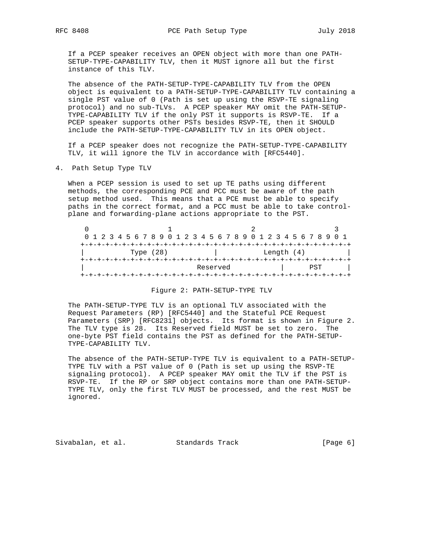If a PCEP speaker receives an OPEN object with more than one PATH- SETUP-TYPE-CAPABILITY TLV, then it MUST ignore all but the first instance of this TLV.

 The absence of the PATH-SETUP-TYPE-CAPABILITY TLV from the OPEN object is equivalent to a PATH-SETUP-TYPE-CAPABILITY TLV containing a single PST value of 0 (Path is set up using the RSVP-TE signaling protocol) and no sub-TLVs. A PCEP speaker MAY omit the PATH-SETUP- TYPE-CAPABILITY TLV if the only PST it supports is RSVP-TE. If a PCEP speaker supports other PSTs besides RSVP-TE, then it SHOULD include the PATH-SETUP-TYPE-CAPABILITY TLV in its OPEN object.

 If a PCEP speaker does not recognize the PATH-SETUP-TYPE-CAPABILITY TLV, it will ignore the TLV in accordance with [RFC5440].

4. Path Setup Type TLV

 When a PCEP session is used to set up TE paths using different methods, the corresponding PCE and PCC must be aware of the path setup method used. This means that a PCE must be able to specify paths in the correct format, and a PCC must be able to take control plane and forwarding-plane actions appropriate to the PST.

| 0 1 2 3 4 5 6 7 8 9 0 1 2 3 4 5 6 7 8 9 0 1 2 3 4 5 6 7 8 9 0 1 |  |  |  |  |             |  |  |  |  |  |  |          |  |  |  |  |  |  |  |  |              |     |  |  |  |  |
|-----------------------------------------------------------------|--|--|--|--|-------------|--|--|--|--|--|--|----------|--|--|--|--|--|--|--|--|--------------|-----|--|--|--|--|
|                                                                 |  |  |  |  |             |  |  |  |  |  |  |          |  |  |  |  |  |  |  |  |              |     |  |  |  |  |
|                                                                 |  |  |  |  | Type $(28)$ |  |  |  |  |  |  |          |  |  |  |  |  |  |  |  | Length $(4)$ |     |  |  |  |  |
|                                                                 |  |  |  |  |             |  |  |  |  |  |  |          |  |  |  |  |  |  |  |  |              |     |  |  |  |  |
|                                                                 |  |  |  |  |             |  |  |  |  |  |  | Reserved |  |  |  |  |  |  |  |  |              | PST |  |  |  |  |
|                                                                 |  |  |  |  |             |  |  |  |  |  |  |          |  |  |  |  |  |  |  |  |              |     |  |  |  |  |

#### Figure 2: PATH-SETUP-TYPE TLV

 The PATH-SETUP-TYPE TLV is an optional TLV associated with the Request Parameters (RP) [RFC5440] and the Stateful PCE Request Parameters (SRP) [RFC8231] objects. Its format is shown in Figure 2. The TLV type is 28. Its Reserved field MUST be set to zero. The one-byte PST field contains the PST as defined for the PATH-SETUP- TYPE-CAPABILITY TLV.

 The absence of the PATH-SETUP-TYPE TLV is equivalent to a PATH-SETUP- TYPE TLV with a PST value of 0 (Path is set up using the RSVP-TE signaling protocol). A PCEP speaker MAY omit the TLV if the PST is RSVP-TE. If the RP or SRP object contains more than one PATH-SETUP- TYPE TLV, only the first TLV MUST be processed, and the rest MUST be ignored.

Sivabalan, et al. Standards Track [Page 6]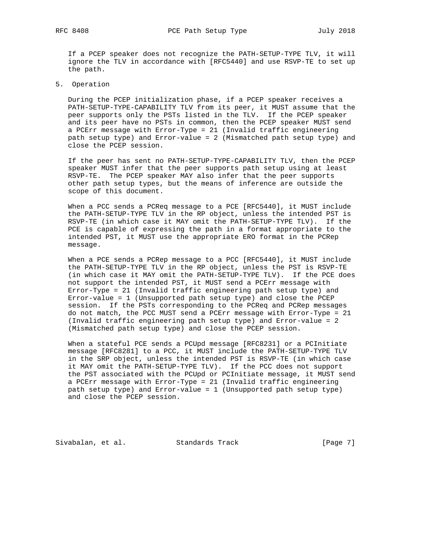If a PCEP speaker does not recognize the PATH-SETUP-TYPE TLV, it will ignore the TLV in accordance with [RFC5440] and use RSVP-TE to set up the path.

5. Operation

 During the PCEP initialization phase, if a PCEP speaker receives a PATH-SETUP-TYPE-CAPABILITY TLV from its peer, it MUST assume that the peer supports only the PSTs listed in the TLV. If the PCEP speaker and its peer have no PSTs in common, then the PCEP speaker MUST send a PCErr message with Error-Type = 21 (Invalid traffic engineering path setup type) and Error-value = 2 (Mismatched path setup type) and close the PCEP session.

 If the peer has sent no PATH-SETUP-TYPE-CAPABILITY TLV, then the PCEP speaker MUST infer that the peer supports path setup using at least RSVP-TE. The PCEP speaker MAY also infer that the peer supports other path setup types, but the means of inference are outside the scope of this document.

 When a PCC sends a PCReq message to a PCE [RFC5440], it MUST include the PATH-SETUP-TYPE TLV in the RP object, unless the intended PST is RSVP-TE (in which case it MAY omit the PATH-SETUP-TYPE TLV). If the PCE is capable of expressing the path in a format appropriate to the intended PST, it MUST use the appropriate ERO format in the PCRep message.

 When a PCE sends a PCRep message to a PCC [RFC5440], it MUST include the PATH-SETUP-TYPE TLV in the RP object, unless the PST is RSVP-TE (in which case it MAY omit the PATH-SETUP-TYPE TLV). If the PCE does not support the intended PST, it MUST send a PCErr message with Error-Type = 21 (Invalid traffic engineering path setup type) and Error-value = 1 (Unsupported path setup type) and close the PCEP session. If the PSTs corresponding to the PCReq and PCRep messages do not match, the PCC MUST send a PCErr message with Error-Type = 21 (Invalid traffic engineering path setup type) and Error-value = 2 (Mismatched path setup type) and close the PCEP session.

 When a stateful PCE sends a PCUpd message [RFC8231] or a PCInitiate message [RFC8281] to a PCC, it MUST include the PATH-SETUP-TYPE TLV in the SRP object, unless the intended PST is RSVP-TE (in which case it MAY omit the PATH-SETUP-TYPE TLV). If the PCC does not support the PST associated with the PCUpd or PCInitiate message, it MUST send a PCErr message with Error-Type = 21 (Invalid traffic engineering path setup type) and Error-value = 1 (Unsupported path setup type) and close the PCEP session.

Sivabalan, et al. Standards Track [Page 7]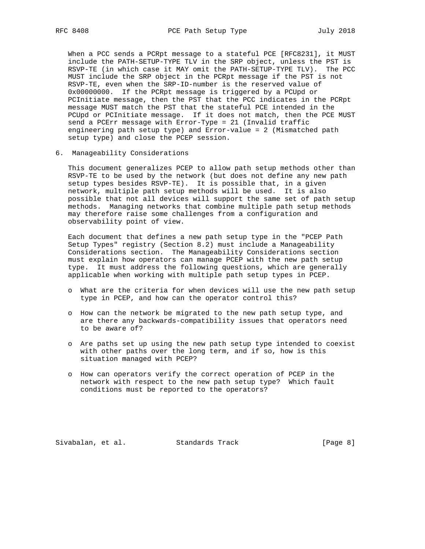When a PCC sends a PCRpt message to a stateful PCE [RFC8231], it MUST include the PATH-SETUP-TYPE TLV in the SRP object, unless the PST is RSVP-TE (in which case it MAY omit the PATH-SETUP-TYPE TLV). The PCC MUST include the SRP object in the PCRpt message if the PST is not RSVP-TE, even when the SRP-ID-number is the reserved value of 0x00000000. If the PCRpt message is triggered by a PCUpd or PCInitiate message, then the PST that the PCC indicates in the PCRpt message MUST match the PST that the stateful PCE intended in the PCUpd or PCInitiate message. If it does not match, then the PCE MUST send a PCErr message with Error-Type = 21 (Invalid traffic engineering path setup type) and Error-value = 2 (Mismatched path setup type) and close the PCEP session.

6. Manageability Considerations

 This document generalizes PCEP to allow path setup methods other than RSVP-TE to be used by the network (but does not define any new path setup types besides RSVP-TE). It is possible that, in a given network, multiple path setup methods will be used. It is also possible that not all devices will support the same set of path setup methods. Managing networks that combine multiple path setup methods may therefore raise some challenges from a configuration and observability point of view.

 Each document that defines a new path setup type in the "PCEP Path Setup Types" registry (Section 8.2) must include a Manageability Considerations section. The Manageability Considerations section must explain how operators can manage PCEP with the new path setup type. It must address the following questions, which are generally applicable when working with multiple path setup types in PCEP.

- o What are the criteria for when devices will use the new path setup type in PCEP, and how can the operator control this?
- o How can the network be migrated to the new path setup type, and are there any backwards-compatibility issues that operators need to be aware of?
- o Are paths set up using the new path setup type intended to coexist with other paths over the long term, and if so, how is this situation managed with PCEP?
- o How can operators verify the correct operation of PCEP in the network with respect to the new path setup type? Which fault conditions must be reported to the operators?

Sivabalan, et al. Standards Track [Page 8]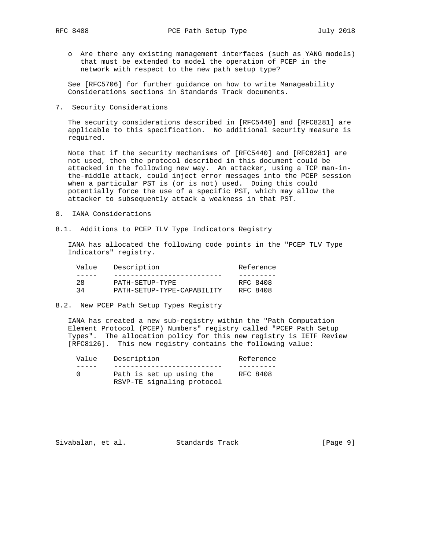o Are there any existing management interfaces (such as YANG models) that must be extended to model the operation of PCEP in the network with respect to the new path setup type?

 See [RFC5706] for further guidance on how to write Manageability Considerations sections in Standards Track documents.

7. Security Considerations

 The security considerations described in [RFC5440] and [RFC8281] are applicable to this specification. No additional security measure is required.

 Note that if the security mechanisms of [RFC5440] and [RFC8281] are not used, then the protocol described in this document could be attacked in the following new way. An attacker, using a TCP man-in the-middle attack, could inject error messages into the PCEP session when a particular PST is (or is not) used. Doing this could potentially force the use of a specific PST, which may allow the attacker to subsequently attack a weakness in that PST.

- 8. IANA Considerations
- 8.1. Additions to PCEP TLV Type Indicators Registry

 IANA has allocated the following code points in the "PCEP TLV Type Indicators" registry.

| Value | Description                | Reference |
|-------|----------------------------|-----------|
|       |                            |           |
| 28    | PATH-SETUP-TYPE            | RFC 8408  |
| 34    | PATH-SETUP-TYPE-CAPABILITY | RFC 8408  |

8.2. New PCEP Path Setup Types Registry

 IANA has created a new sub-registry within the "Path Computation Element Protocol (PCEP) Numbers" registry called "PCEP Path Setup Types". The allocation policy for this new registry is IETF Review [RFC8126]. This new registry contains the following value:

| Value  | Description                                            | Reference |  |  |  |  |  |
|--------|--------------------------------------------------------|-----------|--|--|--|--|--|
|        |                                                        |           |  |  |  |  |  |
| $\cup$ | Path is set up using the<br>RSVP-TE signaling protocol | RFC 8408  |  |  |  |  |  |

Sivabalan, et al. Standards Track [Page 9]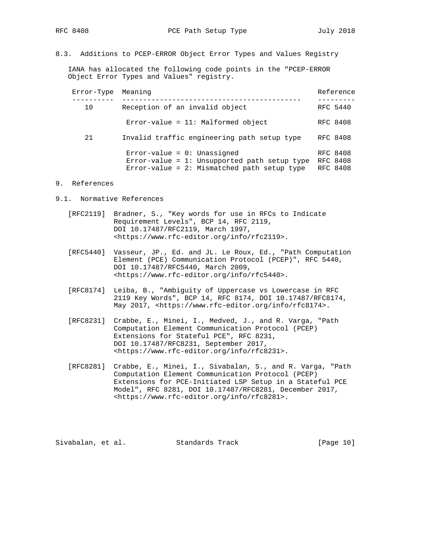8.3. Additions to PCEP-ERROR Object Error Types and Values Registry

 IANA has allocated the following code points in the "PCEP-ERROR Object Error Types and Values" registry.

Error-Type Meaning and the material control of the Reference ---------- ------------------------------------------- --------- 10 Reception of an invalid object RFC 5440 Error-value = 11: Malformed object RFC 8408 21 Invalid traffic engineering path setup type RFC 8408 Error-value = 0: Unassigned RFC 8408 Error-value = 1: Unsupported path setup type RFC 8408 Error-value = 2: Mismatched path setup type RFC 8408

### 9. References

- 9.1. Normative References
	- [RFC2119] Bradner, S., "Key words for use in RFCs to Indicate Requirement Levels", BCP 14, RFC 2119, DOI 10.17487/RFC2119, March 1997, <https://www.rfc-editor.org/info/rfc2119>.
	- [RFC5440] Vasseur, JP., Ed. and JL. Le Roux, Ed., "Path Computation Element (PCE) Communication Protocol (PCEP)", RFC 5440, DOI 10.17487/RFC5440, March 2009, <https://www.rfc-editor.org/info/rfc5440>.
	- [RFC8174] Leiba, B., "Ambiguity of Uppercase vs Lowercase in RFC 2119 Key Words", BCP 14, RFC 8174, DOI 10.17487/RFC8174, May 2017, <https://www.rfc-editor.org/info/rfc8174>.
	- [RFC8231] Crabbe, E., Minei, I., Medved, J., and R. Varga, "Path Computation Element Communication Protocol (PCEP) Extensions for Stateful PCE", RFC 8231, DOI 10.17487/RFC8231, September 2017, <https://www.rfc-editor.org/info/rfc8231>.
	- [RFC8281] Crabbe, E., Minei, I., Sivabalan, S., and R. Varga, "Path Computation Element Communication Protocol (PCEP) Extensions for PCE-Initiated LSP Setup in a Stateful PCE Model", RFC 8281, DOI 10.17487/RFC8281, December 2017, <https://www.rfc-editor.org/info/rfc8281>.

Sivabalan, et al. Standards Track [Page 10]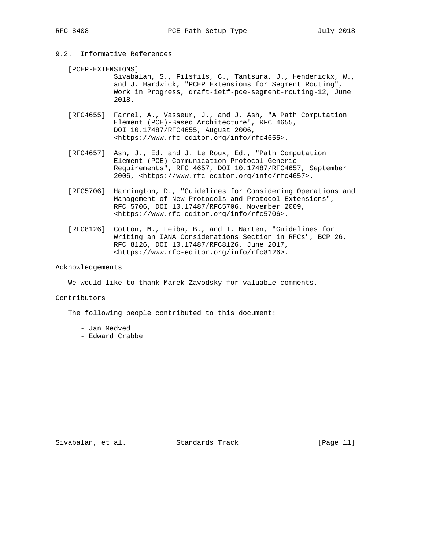9.2. Informative References

#### [PCEP-EXTENSIONS]

 Sivabalan, S., Filsfils, C., Tantsura, J., Henderickx, W., and J. Hardwick, "PCEP Extensions for Segment Routing", Work in Progress, draft-ietf-pce-segment-routing-12, June 2018.

- [RFC4655] Farrel, A., Vasseur, J., and J. Ash, "A Path Computation Element (PCE)-Based Architecture", RFC 4655, DOI 10.17487/RFC4655, August 2006, <https://www.rfc-editor.org/info/rfc4655>.
- [RFC4657] Ash, J., Ed. and J. Le Roux, Ed., "Path Computation Element (PCE) Communication Protocol Generic Requirements", RFC 4657, DOI 10.17487/RFC4657, September 2006, <https://www.rfc-editor.org/info/rfc4657>.
- [RFC5706] Harrington, D., "Guidelines for Considering Operations and Management of New Protocols and Protocol Extensions", RFC 5706, DOI 10.17487/RFC5706, November 2009, <https://www.rfc-editor.org/info/rfc5706>.
- [RFC8126] Cotton, M., Leiba, B., and T. Narten, "Guidelines for Writing an IANA Considerations Section in RFCs", BCP 26, RFC 8126, DOI 10.17487/RFC8126, June 2017, <https://www.rfc-editor.org/info/rfc8126>.

## Acknowledgements

We would like to thank Marek Zavodsky for valuable comments.

#### Contributors

The following people contributed to this document:

- Jan Medved
- Edward Crabbe

Sivabalan, et al. Standards Track [Page 11]